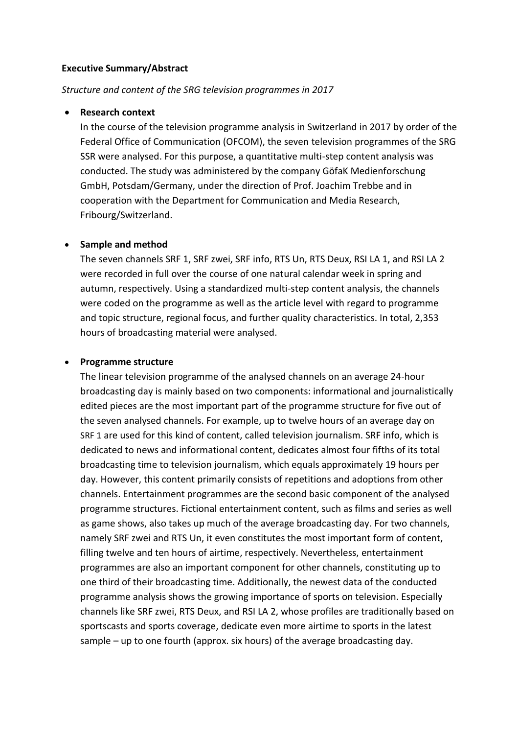## **Executive Summary/Abstract**

## *Structure and content of the SRG television programmes in 2017*

## **Research context**

In the course of the television programme analysis in Switzerland in 2017 by order of the Federal Office of Communication (OFCOM), the seven television programmes of the SRG SSR were analysed. For this purpose, a quantitative multi-step content analysis was conducted. The study was administered by the company GöfaK Medienforschung GmbH, Potsdam/Germany, under the direction of Prof. Joachim Trebbe and in cooperation with the Department for Communication and Media Research, Fribourg/Switzerland.

## **Sample and method**

The seven channels SRF 1, SRF zwei, SRF info, RTS Un, RTS Deux, RSI LA 1, and RSI LA 2 were recorded in full over the course of one natural calendar week in spring and autumn, respectively. Using a standardized multi-step content analysis, the channels were coded on the programme as well as the article level with regard to programme and topic structure, regional focus, and further quality characteristics. In total, 2,353 hours of broadcasting material were analysed.

## **Programme structure**

The linear television programme of the analysed channels on an average 24-hour broadcasting day is mainly based on two components: informational and journalistically edited pieces are the most important part of the programme structure for five out of the seven analysed channels. For example, up to twelve hours of an average day on SRF 1 are used for this kind of content, called television journalism. SRF info, which is dedicated to news and informational content, dedicates almost four fifths of its total broadcasting time to television journalism, which equals approximately 19 hours per day. However, this content primarily consists of repetitions and adoptions from other channels. Entertainment programmes are the second basic component of the analysed programme structures. Fictional entertainment content, such as films and series as well as game shows, also takes up much of the average broadcasting day. For two channels, namely SRF zwei and RTS Un, it even constitutes the most important form of content, filling twelve and ten hours of airtime, respectively. Nevertheless, entertainment programmes are also an important component for other channels, constituting up to one third of their broadcasting time. Additionally, the newest data of the conducted programme analysis shows the growing importance of sports on television. Especially channels like SRF zwei, RTS Deux, and RSI LA 2, whose profiles are traditionally based on sportscasts and sports coverage, dedicate even more airtime to sports in the latest sample – up to one fourth (approx. six hours) of the average broadcasting day.